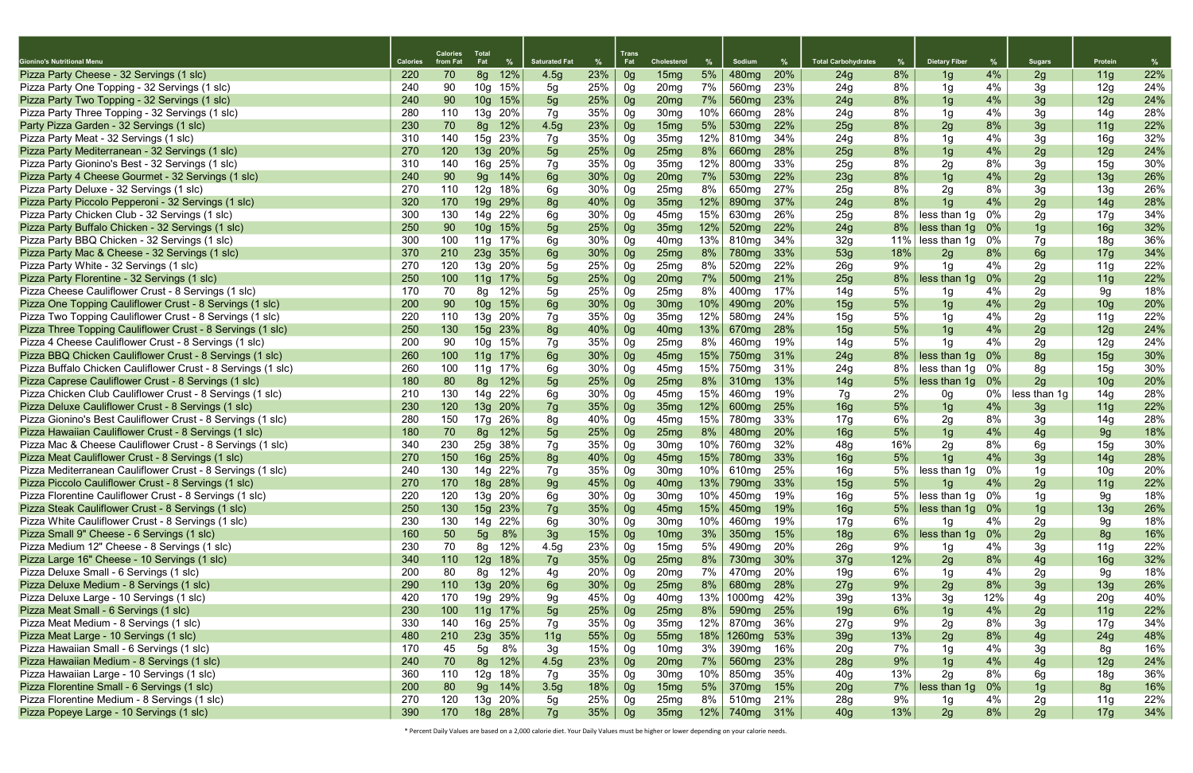|                                                              |                 | <b>Calories</b> | <b>Total</b>           |            |                      |            | Trans          |                                      |            |                            |            |                            |     |                      |       |              |                        |     |
|--------------------------------------------------------------|-----------------|-----------------|------------------------|------------|----------------------|------------|----------------|--------------------------------------|------------|----------------------------|------------|----------------------------|-----|----------------------|-------|--------------|------------------------|-----|
| <b>Gionino's Nutritional Menu</b>                            | <b>Calories</b> | from Fat        | Fat                    | %          | <b>Saturated Fat</b> | %          | Fat            | <b>Cholesterol</b>                   |            | Sodium                     | %          | <b>Total Carbohydrates</b> | %   | <b>Dietary Fiber</b> | %     | Sugars       | Protein                | %   |
| Pizza Party Cheese - 32 Servings (1 slc)                     | 220             | 70              | 8g                     | 12%        | 4.5g                 | 23%        | 0 <sub>g</sub> | 15mg                                 | 5%         | 480 <sub>mg</sub>          | 20%        | 24g                        | 8%  | 1g                   | 4%    | 2g           | 11g                    | 22% |
| Pizza Party One Topping - 32 Servings (1 slc)                | 240             | 90              | 10g                    | 15%        | 5g                   | 25%        | 0g             | 20 <sub>mg</sub>                     | 7%         | 560 <sub>mg</sub>          | 23%        | 24g                        | 8%  | 1g                   | 4%    | 3g           | 12g                    | 24% |
| Pizza Party Two Topping - 32 Servings (1 slc)                | 240             | 90              | 10 <sub>g</sub>        | 15%        | 5g                   | 25%        | 0g             | 20 <sub>mg</sub>                     | 7%         | 560 <sub>mg</sub>          | 23%        | 24g                        | 8%  | 1g                   | 4%    | 3g           | 12g                    | 24% |
| Pizza Party Three Topping - 32 Servings (1 slc)              | 280             | 110             | 13g                    | 20%        | 7g                   | 35%        | 0g             | 30 <sub>mg</sub>                     | 10%        | 660 <sub>mg</sub>          | 28%        | 24g                        | 8%  | 1 <sub>g</sub>       | 4%    | 3g           | 14g                    | 28% |
| Party Pizza Garden - 32 Servings (1 slc)                     | 230             | 70              | 8g                     | 12%        | 4.5g                 | 23%        | 0g             | 15mg                                 | 5%         | 530 <sub>mg</sub>          | 22%        | 25g                        | 8%  | 2g                   | 8%    | 3g           | 11g                    | 22% |
| Pizza Party Meat - 32 Servings (1 slc)                       | 310             | 140             | 15g                    | 23%        | 7g                   | 35%        | 0g             | 35 <sub>mg</sub>                     | 12%        | 810mg                      | 34%        | 24g                        | 8%  | 1g                   | 4%    | 3g           | 16g                    | 32% |
| Pizza Party Mediterranean - 32 Servings (1 slc)              | 270             | 120             | 13g                    | 20%        | 5g                   | 25%        | 0g             | 25mg                                 | 8%         | 660 <sub>mg</sub>          | 28%        | 25g                        | 8%  | 1g                   | 4%    | 2g           | 12g                    | 24% |
| Pizza Party Gionino's Best - 32 Servings (1 slc)             | 310             | 140             | 16g                    | 25%        | 7g                   | 35%        | 0g             | 35 <sub>mg</sub>                     | 12%        | 800 <sub>mg</sub>          | 33%        | 25g                        | 8%  | 2g                   | 8%    | 3g           | 15g                    | 30% |
| Pizza Party 4 Cheese Gourmet - 32 Servings (1 slc)           | 240             | 90              | 9g                     | 14%        | 6g                   | 30%        | 0g             | 20 <sub>mg</sub>                     | 7%         | 530 <sub>mg</sub>          | 22%        | 23g                        | 8%  | 1g                   | 4%    | 2g           | 13g                    | 26% |
| Pizza Party Deluxe - 32 Servings (1 slc)                     | 270             | 110             | 12g                    | 18%        | 6g                   | 30%        | 0g             | 25mg                                 | 8%         | 650 <sub>mg</sub>          | 27%        | 25g                        | 8%  | 2g                   | 8%    | 3g           | 13g                    | 26% |
| Pizza Party Piccolo Pepperoni - 32 Servings (1 slc)          | 320             | 170             | 19g                    | 29%        | 8g                   | 40%        | 0g             | 35 <sub>mg</sub>                     | 12%        | 890 <sub>mg</sub>          | 37%        | 24g                        | 8%  | 1 <sub>q</sub>       | 4%    | 2g           | 14g                    | 28% |
| Pizza Party Chicken Club - 32 Servings (1 slc)               | 300             | 130             | 14g                    | 22%        | 6g                   | 30%        | 0g             | 45mg                                 | 15%        | 630 <sub>mg</sub>          | 26%        | 25g                        | 8%  | less than 1g         | 0%    | 2g           | 17g                    | 34% |
| Pizza Party Buffalo Chicken - 32 Servings (1 slc)            | 250             | 90              | 10 <sub>g</sub>        | 15%        | 5g                   | 25%        | 0g             | 35 <sub>mg</sub>                     | 12%        | 520 <sub>mg</sub>          | 22%        | 24g                        | 8%  | less than 1g         | $0\%$ | 1g           | 16g                    | 32% |
| Pizza Party BBQ Chicken - 32 Servings (1 slc)                | 300             | 100             | 11g                    | 17%        | 6g                   | 30%        | 0g             | 40 <sub>mg</sub>                     | 13%        | 810mg                      | 34%        | 32g                        | 11% | less than 1g         | 0%    | 7g           | 18g                    | 36% |
| Pizza Party Mac & Cheese - 32 Servings (1 slc)               | 370             | 210             | 23g                    | 35%        | 6g                   | 30%        | 0g             | 25mg                                 | 8%         | 780 <sub>mg</sub>          | 33%        | 53g                        | 18% | 2g                   | 8%    | 6g           | 17g                    | 34% |
| Pizza Party White - 32 Servings (1 slc)                      | 270             | 120             | 13g                    | 20%        | 5g                   | 25%        | 0g             | 25mg                                 | 8%         | 520 <sub>mg</sub>          | 22%        | 26g                        | 9%  | 1g                   | 4%    | 2g           | 11g                    | 22% |
| Pizza Party Florentine - 32 Servings (1 slc)                 | 250             | 100             | 11g                    | 17%        | 5g                   | 25%        | 0g             | 20 <sub>mg</sub>                     | 7%         | 500 <sub>mg</sub>          | 21%        | 25g                        | 8%  | less than 1g         | $0\%$ | 2g           | 11g                    | 22% |
| Pizza Cheese Cauliflower Crust - 8 Servings (1 slc)          | 170             | 70              | 8g                     | 12%        | 5g                   | 25%        | 0g             | 25mg                                 | 8%         | 400 <sub>mg</sub>          | 17%        | 14g                        | 5%  | 1g                   | 4%    | 2g           | 9g                     | 18% |
| Pizza One Topping Cauliflower Crust - 8 Servings (1 slc)     | 200             | 90              | 10g                    | 15%        | 6g                   | 30%        | 0g             | 30 <sub>mg</sub>                     | 10%        | 490 <sub>mg</sub>          | 20%        | 15g                        | 5%  | 1g                   | 4%    | 2g           | 10 <sub>g</sub>        | 20% |
| Pizza Two Topping Cauliflower Crust - 8 Servings (1 slc)     | 220             | 110             | 13g                    | 20%        | 7g                   | 35%        | 0g             | 35 <sub>mg</sub>                     | 12%        | 580 <sub>mg</sub>          | 24%        | 15g                        | 5%  | 1g                   | 4%    | 2g           | 11g                    | 22% |
| Pizza Three Topping Cauliflower Crust - 8 Servings (1 slc)   | 250             | 130             | 15g                    | 23%        | 8g                   | 40%        | 0g             | 40 <sub>mg</sub>                     | 13%        | 670 <sub>mg</sub>          | 28%        | 15g                        | 5%  | 1 <sub>g</sub>       | 4%    | 2g           | 12g                    | 24% |
| Pizza 4 Cheese Cauliflower Crust - 8 Servings (1 slc)        | 200             | 90              | 10g                    | 15%        | 7g                   | 35%        | 0g             | 25 <sub>mg</sub>                     | 8%         | 460 <sub>mg</sub>          | 19%        | 14g                        | 5%  | 1g                   | 4%    | 2g           | 12g                    | 24% |
| Pizza BBQ Chicken Cauliflower Crust - 8 Servings (1 slc)     | 260             | 100             | 11g                    | 17%        | 6g                   | 30%        | 0g             | 45 <sub>mg</sub>                     | 15%        | 750 <sub>mg</sub>          | 31%        | 24g                        | 8%  | less than 1g         | $0\%$ | 8g           | 15g                    | 30% |
| Pizza Buffalo Chicken Cauliflower Crust - 8 Servings (1 slc) | 260             | 100             |                        | 11g 17%    | 6g                   | 30%        | 0g             | 45mg                                 | 15%        | 750 <sub>mg</sub>          | 31%        | 24g                        | 8%  | less than 1q         | 0%    | 8g           | 15g                    | 30% |
| Pizza Caprese Cauliflower Crust - 8 Servings (1 slc)         | 180             | 80              | 8g                     | 12%        | 5g                   | 25%        | 0g             | 25mg                                 | 8%         | 310 <sub>mg</sub>          | 13%        | 14g                        | 5%  | less than 1g         | $0\%$ | 2q           | 10 <sub>g</sub>        | 20% |
| Pizza Chicken Club Cauliflower Crust - 8 Servings (1 slc)    | 210             | 130             | 14g                    | 22%        | 6g                   | 30%        |                | 45 <sub>mg</sub>                     | 15%        | 460 <sub>mg</sub>          | 19%        | 7g                         | 2%  |                      | 0%    | less than 1g | 14g                    | 28% |
| Pizza Deluxe Cauliflower Crust - 8 Servings (1 slc)          | 230             | 120             | 13g                    | 20%        |                      | 35%        | 0g             | 35 <sub>mg</sub>                     | 12%        | 600 <sub>mg</sub>          | 25%        |                            | 5%  | 0g                   | 4%    |              |                        | 22% |
| Pizza Gionino's Best Cauliflower Crust - 8 Servings (1 slc)  | 280             | 150             |                        | 26%        | 7g                   | 40%        | 0g             | 45mg                                 |            | 780 <sub>mg</sub>          | 33%        | 16g                        | 6%  | 1g                   | 8%    | 3g           | 11g                    | 28% |
| Pizza Hawaiian Cauliflower Crust - 8 Servings (1 slc)        | 180             | 70              | 17g                    | 12%        | 8g                   | 25%        | 0g             |                                      | 15%        | 480 <sub>mg</sub>          | 20%        | 17g                        | 5%  | 2g                   | 4%    | 3g           | 14g                    | 18% |
| Pizza Mac & Cheese Cauliflower Crust - 8 Servings (1 slc)    | 340             | 230             | 8g                     |            | 5g                   | 35%        | 0g             | 25mg                                 | 8%         |                            | 32%        | 16g                        | 16% | 1 <sub>g</sub>       | 8%    | 4g           | 9g                     | 30% |
|                                                              | 270             | 150             | 25g                    | 38%        | 7g                   |            | 0g             | 30 <sub>mg</sub>                     | 10%        | 760 <sub>mg</sub>          |            | 48g                        | 5%  | 2g                   | 4%    | 6g           | 15g                    | 28% |
| Pizza Meat Cauliflower Crust - 8 Servings (1 slc)            | 240             | 130             | 16g<br>14 <sub>q</sub> | 25%<br>22% | 8g<br>7α             | 40%<br>35% | 0g             | 45 <sub>mg</sub><br>30 <sub>mq</sub> | 15%<br>10% | 780 <sub>mg</sub><br>610mg | 33%<br>25% | 16g<br>16 <sub>a</sub>     | 5%  | 1 <sub>g</sub>       | $0\%$ | 3g<br>1a     | 14g<br>10 <sub>q</sub> | 20% |
| Pizza Mediterranean Cauliflower Crust - 8 Servings (1 slc)   |                 |                 |                        |            |                      |            | 0a             |                                      |            |                            |            |                            | 5%  | less than 1g         |       |              |                        |     |
| Pizza Piccolo Cauliflower Crust - 8 Servings (1 slc)         | 270             | 170             | 18g                    | 28%        | 9g                   | 45%        | 0g             | 40 <sub>mg</sub>                     | 13%        | 790 <sub>mg</sub>          | 33%        | 15g                        |     | 1g                   | 4%    | 2g           | 11g                    | 22% |
| Pizza Florentine Cauliflower Crust - 8 Servings (1 slc)      | 220             | 120             |                        | 13g 20%    | 6g                   | 30%        | 0g             | 30 <sub>mg</sub>                     | 10%        | 450 <sub>mg</sub>          | 19%        | 16g                        | 5%  | less than 1g         | 0%    | 1g           | 9g                     | 18% |
| Pizza Steak Cauliflower Crust - 8 Servings (1 slc)           | 250             | 130             | 15g                    | 23%        | 7g                   | 35%        | 0g             | 45 <sub>mg</sub>                     | 15%        | 450 <sub>mg</sub>          | 19%        | 16g                        | 5%  | less than 1g         | 0%    | 1g           | 13g                    | 26% |
| Pizza White Cauliflower Crust - 8 Servings (1 slc)           | 230             | 130             | 14g                    | 22%        | 6g                   | 30%        | 0g             | 30 <sub>mg</sub>                     | 10%        | 460 <sub>mg</sub>          | 19%        | 17g                        | 6%  | 1q                   | 4%    | 2g           | 9g                     | 18% |
| Pizza Small 9" Cheese - 6 Servings (1 slc)                   | 160             | 50              | 5 <sub>g</sub>         | 8%         | 3g                   | 15%        | 0g             | 10 <sub>mg</sub>                     | 3%         | 350 <sub>mg</sub>          | 15%        | 18g                        | 6%  | less than 1g         | 0%    | 2g           | 8g                     | 16% |
| Pizza Medium 12" Cheese - 8 Servings (1 slc)                 | 230             | 70              | 8g                     | 12%        | 4.5g                 | 23%        | 0g             | 15mg                                 | 5%         | 490 <sub>mg</sub>          | 20%        | 26g                        | 9%  | 1g                   | 4%    | 3g           | 11g                    | 22% |
| Pizza Large 16" Cheese - 10 Servings (1 slc)                 | 340             | 110             |                        | 12g 18%    | 7g                   | 35%        | 0g             | 25mg                                 | 8%         | 730mg                      | 30%        | 37g                        | 12% | 2g                   | 8%    | 4g           | 16g                    | 32% |
| Pizza Deluxe Small - 6 Servings (1 slc)                      | 200             | 80              | 8g                     | 12%        | 4g                   | 20%        | 0g             | 20 <sub>mg</sub>                     | 7%         | 470 <sub>mg</sub>          | 20%        | 19g                        | 6%  | 1g                   | 4%    | 2g           | 9g                     | 18% |
| Pizza Deluxe Medium - 8 Servings (1 slc)                     | 290             | 110             |                        | 13g 20%    | 6g                   | 30%        | 0g             | 25mg                                 | 8%         | 680 <sub>mg</sub>          | 28%        | 27g                        | 9%  | 2g                   | 8%    | 3g           | 13g                    | 26% |
| Pizza Deluxe Large - 10 Servings (1 slc)                     | 420             | 170             | 19g                    | 29%        | 9g                   | 45%        | 0g             | 40 <sub>mg</sub>                     | 13%        | 1000mg                     | 42%        | 39g                        | 13% | 3g                   | 12%   | 4g           | 20g                    | 40% |
| Pizza Meat Small - 6 Servings (1 slc)                        | 230             | 100             |                        | 11g 17%    | 5g                   | 25%        | 0g             | 25mg                                 | 8%         | 590 <sub>mg</sub>          | 25%        | 19g                        | 6%  | 1g                   | 4%    | 2g           | 11g                    | 22% |
| Pizza Meat Medium - 8 Servings (1 slc)                       | 330             | 140             | 16g                    | 25%        | 7g                   | 35%        | 0g             | 35 <sub>mg</sub>                     | 12%        | 870 <sub>mg</sub>          | 36%        | 27g                        | 9%  | 2g                   | 8%    | 3g           | 17g                    | 34% |
| Pizza Meat Large - 10 Servings (1 slc)                       | 480             | 210             |                        | 23g 35%    | 11g                  | 55%        | 0g             | 55 <sub>mg</sub>                     | 18%        | 1260mg                     | 53%        | 39g                        | 13% | 2g                   | 8%    | 4g           | 24g                    | 48% |
| Pizza Hawaiian Small - 6 Servings (1 slc)                    | 170             | 45              | 5g                     | 8%         | 3g                   | 15%        | 0g             | 10 <sub>mg</sub>                     | 3%         | 390 <sub>mg</sub>          | 16%        | 20 <sub>g</sub>            | 7%  | 1g                   | 4%    | 3g           | 8g                     | 16% |
| Pizza Hawaiian Medium - 8 Servings (1 slc)                   | 240             | 70              | 8g                     | 12%        | 4.5g                 | 23%        | 0g             | 20 <sub>mg</sub>                     | 7%         | 560 <sub>mg</sub>          | 23%        | 28g                        | 9%  | 1g                   | 4%    | 4g           | 12g                    | 24% |
| Pizza Hawaiian Large - 10 Servings (1 slc)                   | 360             | 110             | 12g                    | 18%        | 7g                   | 35%        | 0g             | 30 <sub>mg</sub>                     | 10%        | 850 <sub>mg</sub>          | 35%        | 40 <sub>g</sub>            | 13% | 2g                   | 8%    | 6g           | 18g                    | 36% |
| Pizza Florentine Small - 6 Servings (1 slc)                  | 200             | 80              | 9g                     | 14%        | 3.5g                 | 18%        | 0 <sub>g</sub> | 15mg                                 | 5%         | 370 <sub>mg</sub>          | 15%        | 20g                        | 7%  | less than 1g         | $0\%$ | 1g           | 8g                     | 16% |
| Pizza Florentine Medium - 8 Servings (1 slc)                 | 270             | 120             |                        | 13g 20%    | 5g                   | 25%        | 0g             | 25mg                                 | 8%         | 510 <sub>mg</sub>          | 21%        | 28g                        | 9%  | 1g                   | 4%    | 2g           | 11g                    | 22% |
| Pizza Popeye Large - 10 Servings (1 slc)                     | 390             | 170             |                        | 18g 28%    | 7g                   | 35%        | 0g             | 35 <sub>mg</sub>                     | 12%        | 740 <sub>mg</sub>          | 31%        | 40 <sub>g</sub>            | 13% | 2g                   | 8%    | 2g           | 17g                    | 34% |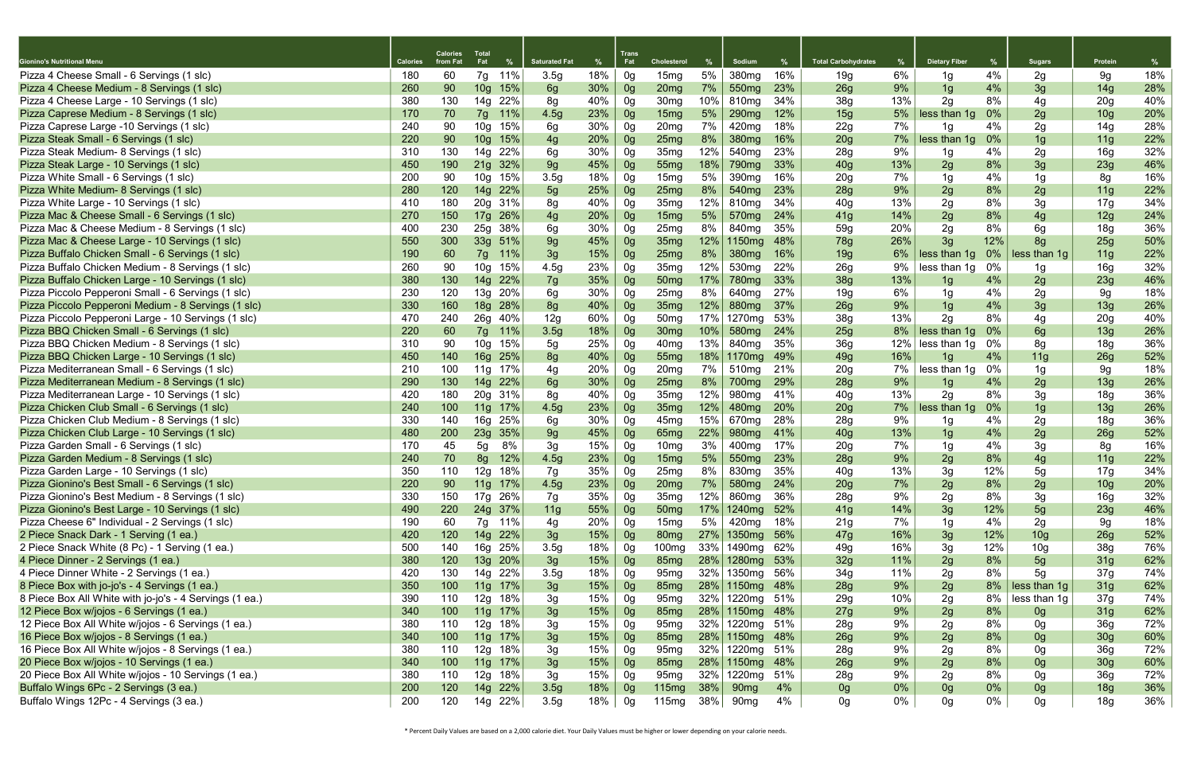| Gionino's Nutritional Menu                              | <b>Calories</b> | <b>Calories</b><br>from Fat | <b>Total</b><br>Fat | %       | <b>Saturated Fat</b> | %   | <b>Trans</b><br>Fat | <b>Cholesterol</b> |        | Sodium             | %   | <b>Total Carbohydrates</b> | %      | <b>Dietary Fiber</b> | %     | <b>Sugars</b>   | Protein         | %   |
|---------------------------------------------------------|-----------------|-----------------------------|---------------------|---------|----------------------|-----|---------------------|--------------------|--------|--------------------|-----|----------------------------|--------|----------------------|-------|-----------------|-----------------|-----|
| Pizza 4 Cheese Small - 6 Servings (1 slc)               | 180             | 60                          | 7g                  | 11%     | 3.5 <sub>g</sub>     | 18% | 0g                  | 15mg               | 5%     | 380 <sub>mg</sub>  | 16% | 19g                        | 6%     | 1g                   | 4%    | 2g              | 9g              | 18% |
| Pizza 4 Cheese Medium - 8 Servings (1 slc)              | 260             | 90                          | 10 <sub>g</sub>     | 15%     | 6g                   | 30% | 0g                  | 20 <sub>mg</sub>   | 7%     | 550 <sub>mg</sub>  | 23% | 26g                        | 9%     | 1g                   | 4%    | 3g              | 14g             | 28% |
| Pizza 4 Cheese Large - 10 Servings (1 slc)              | 380             | 130                         | 14g                 | 22%     | 8g                   | 40% | 0g                  | 30 <sub>mg</sub>   | 10%    | 810mg              | 34% | 38g                        | 13%    | 2g                   | 8%    | 4g              | 20g             | 40% |
| Pizza Caprese Medium - 8 Servings (1 slc)               | 170             | 70                          | 7g                  | 11%     | 4.5g                 | 23% | 0 <sub>g</sub>      | 15mg               | 5%     | 290 <sub>mg</sub>  | 12% | 15g                        | 5%     | less than 1g         | 0%    | 2g              | 10 <sub>g</sub> | 20% |
| Pizza Caprese Large -10 Servings (1 slc)                | 240             | 90                          | 10 <sub>g</sub>     | 15%     | 6g                   | 30% | 0g                  | 20 <sub>mg</sub>   | 7%     | 420 <sub>mg</sub>  | 18% | 22g                        | 7%     | 1g                   | 4%    | 2g              | 14g             | 28% |
| Pizza Steak Small - 6 Servings (1 slc)                  | 220             | 90                          |                     | 10g 15% | 4g                   | 20% | 0g                  | 25mg               | 8%     | 380 <sub>mg</sub>  | 16% | 20g                        | 7%     | less than 1g         | $0\%$ | 1g              | 11g             | 22% |
| Pizza Steak Medium- 8 Servings (1 slc)                  | 310             | 130                         | 14g                 | 22%     | 6g                   | 30% | 0g                  | 35 <sub>mg</sub>   | 12%    | 540 <sub>mg</sub>  | 23% | 28g                        | 9%     | 1g                   | 4%    | 2g              | 16g             | 32% |
| Pizza Steak Large - 10 Servings (1 slc)                 | 450             | 190                         | 21g                 | 32%     | 9g                   | 45% | 0g                  | 55 <sub>mg</sub>   | 18%    | 790 <sub>mg</sub>  | 33% | 40 <sub>g</sub>            | 13%    | 2g                   | 8%    | 3g              | 23g             | 46% |
| Pizza White Small - 6 Servings (1 slc)                  | 200             | 90                          | 10 <sub>g</sub>     | 15%     | 3.5g                 | 18% | 0g                  | 15 <sub>mg</sub>   | 5%     | 390 <sub>mg</sub>  | 16% | 20 <sub>g</sub>            | 7%     | 1g                   | 4%    | 1g              | 8g              | 16% |
| Pizza White Medium- 8 Servings (1 slc)                  | 280             | 120                         | 14g                 | 22%     | 5g                   | 25% | 0g                  | 25mg               | 8%     | 540 <sub>mg</sub>  | 23% | 28g                        | 9%     | 2g                   | 8%    | 2g              | 11g             | 22% |
| Pizza White Large - 10 Servings (1 slc)                 | 410             | 180                         |                     | 20g 31% | 8g                   | 40% | 0g                  | 35 <sub>mg</sub>   | 12%    | 810mg              | 34% | 40g                        | 13%    | 2g                   | 8%    | 3g              | 17g             | 34% |
| Pizza Mac & Cheese Small - 6 Servings (1 slc)           | 270             | 150                         |                     | 17g 26% | 4g                   | 20% | 0g                  | 15mg               | 5%     | 570 <sub>mg</sub>  | 24% | 41g                        | 14%    | 2g                   | 8%    | 4g              | 12g             | 24% |
| Pizza Mac & Cheese Medium - 8 Servings (1 slc)          | 400             | 230                         | 25g                 | 38%     | 6g                   | 30% | 0g                  | 25 <sub>mg</sub>   | 8%     | 840mg              | 35% | 59g                        | 20%    | 2g                   | 8%    | 6g              | 18g             | 36% |
| Pizza Mac & Cheese Large - 10 Servings (1 slc)          | 550             | 300                         | 33g                 | 51%     | 9g                   | 45% | 0g                  | 35 <sub>mg</sub>   | 12%    | 1150 <sub>mg</sub> | 48% | <b>78g</b>                 | 26%    | 3g                   | 12%   | 8 <sub>q</sub>  | 25g             | 50% |
| Pizza Buffalo Chicken Small - 6 Servings (1 slc)        | 190             | 60                          | 7g                  | 11%     | 3g                   | 15% | 0g                  | 25mg               | 8%     | 380 <sub>mg</sub>  | 16% | 19g                        | 6%     | less than 1g         | $0\%$ | less than 1g    | 11g             | 22% |
| Pizza Buffalo Chicken Medium - 8 Servings (1 slc)       | 260             | 90                          | 10g                 | 15%     | 4.5g                 | 23% | 0g                  | 35 <sub>mg</sub>   | 12%    | 530 <sub>mg</sub>  | 22% | 26g                        | 9%     | less than 1g         | 0%    | 1g              | 16g             | 32% |
| Pizza Buffalo Chicken Large - 10 Servings (1 slc)       | 380             | 130                         | 14g                 | 22%     | 7g                   | 35% | 0g                  | 50 <sub>mg</sub>   | 17%    | 780 <sub>mg</sub>  | 33% | 38g                        | 13%    | 1g                   | 4%    | 2g              | 23g             | 46% |
| Pizza Piccolo Pepperoni Small - 6 Servings (1 slc)      | 230             | 120                         | 13g                 | 20%     | 6g                   | 30% | 0g                  | 25 <sub>mg</sub>   | 8%     | 640 <sub>mg</sub>  | 27% | 19 <sub>g</sub>            | 6%     | 1g                   | 4%    | 2g              | 9g              | 18% |
| Pizza Piccolo Pepperoni Medium - 8 Servings (1 slc)     | 330             | 160                         | 18g                 | 28%     | 8g                   | 40% | 0g                  | 35 <sub>mg</sub>   | 12%    | 880 <sub>mg</sub>  | 37% | 26g                        | 9%     | 1g                   | 4%    | 3g              | 13g             | 26% |
| Pizza Piccolo Pepperoni Large - 10 Servings (1 slc)     | 470             | 240                         | 26g                 | 40%     | 12g                  | 60% | 0g                  | 50 <sub>mg</sub>   | 17%    | 1270mg             | 53% | 38g                        | 13%    | 2g                   | 8%    | 4g              | 20 <sub>g</sub> | 40% |
| Pizza BBQ Chicken Small - 6 Servings (1 slc)            | 220             | 60                          | 7g                  | 11%     | 3.5g                 | 18% | 0 <sub>g</sub>      | 30 <sub>mg</sub>   | 10%    | 580 <sub>mg</sub>  | 24% | 25g                        | 8%     | less than 1g         | 0%    | 6g              | 13g             | 26% |
| Pizza BBQ Chicken Medium - 8 Servings (1 slc)           | 310             | 90                          | 10 <sub>g</sub>     | 15%     | 5g                   | 25% | 0g                  | 40 <sub>mg</sub>   | 13%    | 840mg              | 35% | 36g                        | 12%    | less than 1g         | 0%    | 8g              | 18g             | 36% |
| Pizza BBQ Chicken Large - 10 Servings (1 slc)           | 450             | 140                         | 16g                 | 25%     | 8g                   | 40% | 0g                  | 55 <sub>mg</sub>   |        | $18\%$   1170mg    | 49% | 49g                        | 16%    | 1g                   | 4%    | 11 <sub>g</sub> | 26g             | 52% |
| Pizza Mediterranean Small - 6 Servings (1 slc)          | 210             | 100                         | 11g                 | 17%     | 4g                   | 20% | 0g                  | 20 <sub>mg</sub>   | 7%     | 510mg              | 21% | 20 <sub>g</sub>            | 7%     | less than 1g         | 0%    | 1g              | 9g              | 18% |
| Pizza Mediterranean Medium - 8 Servings (1 slc)         | 290             | 130                         | 14g                 | 22%     | 6g                   | 30% | 0g                  | 25mg               | 8%     | 700 <sub>mg</sub>  | 29% | 28g                        | 9%     | 1g                   | 4%    | 2g              | 13g             | 26% |
| Pizza Mediterranean Large - 10 Servings (1 slc)         | 420             | 180                         |                     | 20g 31% | 8g                   | 40% | 0g                  | 35 <sub>mg</sub>   | 12%    | 980 <sub>mg</sub>  | 41% | 40 <sub>g</sub>            | 13%    | 2g                   | 8%    | 3g              | 18g             | 36% |
| Pizza Chicken Club Small - 6 Servings (1 slc)           | 240             | 100                         |                     | 11g 17% | 4.5g                 | 23% | 0g                  | 35 <sub>mg</sub>   | 12%    | 480 <sub>mg</sub>  | 20% | 20g                        | 7%     | less than 1g         | 0%    | 1g              | 13g             | 26% |
| Pizza Chicken Club Medium - 8 Servings (1 slc)          | 330             | 140                         | 16g                 | 25%     | 6g                   | 30% | 0g                  | 45mg               | 15%    | 670 <sub>mg</sub>  | 28% | 28g                        | 9%     | 1g                   | 4%    | 2g              | 18g             | 36% |
| Pizza Chicken Club Large - 10 Servings (1 slc)          | 480             | 200                         | 23g                 | 35%     | 9g                   | 45% | 0g                  | 65 <sub>mg</sub>   | 22%    | 980 <sub>mg</sub>  | 41% | 40g                        | 13%    | 1g                   | 4%    | 2g              | 26g             | 52% |
| Pizza Garden Small - 6 Servings (1 slc)                 | 170             | 45                          | 5g                  | 8%      | 3g                   | 15% | 0g                  | 10 <sub>mg</sub>   | 3%     | 400 <sub>mg</sub>  | 17% | 20 <sub>g</sub>            | 7%     | 1g                   | 4%    | 3g              | 8g              | 16% |
| Pizza Garden Medium - 8 Servings (1 slc)                | 240             | 70                          | 8g                  | 12%     | 4.5g                 | 23% | 0 <sub>g</sub>      | 15mg               | 5%     | 550 <sub>mg</sub>  | 23% | 28g                        | 9%     | 2g                   | 8%    | 4g              | 11g             | 22% |
| Pizza Garden Large - 10 Servings (1 slc)                | 350             | 110                         | 12g                 | 18%     | 7g                   | 35% | 0a                  | 25mg               | 8%     | 830mg              | 35% | 40 <sub>g</sub>            | $13\%$ | 3g                   | 12%   | 50<br>ັບ        | 17g             | 34% |
| Pizza Gionino's Best Small - 6 Servings (1 slc)         | 220             | 90                          |                     | 11g 17% | 4.5g                 | 23% | 0g                  | 20 <sub>mg</sub>   | 7%     | 580 <sub>mg</sub>  | 24% | 20g                        | 7%     | 2g                   | 8%    | 2g              | 10 <sub>g</sub> | 20% |
| Pizza Gionino's Best Medium - 8 Servings (1 slc)        | 330             | 150                         |                     | 17g 26% | 7g                   | 35% | 0g                  | 35 <sub>mg</sub>   | 12%    | 860mg              | 36% | 28g                        | 9%     | 2g                   | 8%    | 3g              | 16g             | 32% |
| Pizza Gionino's Best Large - 10 Servings (1 slc)        | 490             | 220                         |                     | 24g 37% | 11 <sub>g</sub>      | 55% | 0 <sub>q</sub>      | 50 <sub>mg</sub>   | 17%    | 1240mg             | 52% | 41g                        | 14%    | 3g                   | 12%   | 5g              | <b>23g</b>      | 46% |
| Pizza Cheese 6" Individual - 2 Servings (1 slc)         | 190             | 60                          |                     | 7g 11%  | 4g                   | 20% | 0g                  | 15mg               | 5%     | 420mg              | 18% | 21g                        | 7%     | 1g                   | 4%    | 2g              | 9g              | 18% |
| 2 Piece Snack Dark - 1 Serving (1 ea.)                  | 420             | 120                         |                     | 14g 22% | 3g                   | 15% | 0 <sub>g</sub>      | 80 <sub>mg</sub>   |        | 27% 1350mg         | 56% | 47g                        | 16%    | 3g                   | 12%   | 10 <sub>g</sub> | 26g             | 52% |
| 2 Piece Snack White (8 Pc) - 1 Serving (1 ea.)          | 500             | 140                         |                     | 16g 25% | 3.5 <sub>g</sub>     | 18% | 0g                  | 100 <sub>mg</sub>  |        | 33% 1490mg 62%     |     | 49g                        | 16%    | 3g                   | 12%   | 10 <sub>g</sub> | 38g             | 76% |
| 4 Piece Dinner - 2 Servings (1 ea.)                     | 380             | 120                         |                     | 13g 20% | 3g                   | 15% | 0g                  | 85 <sub>mg</sub>   |        | 28% 1280mg 53%     |     | 32g                        | 11%    | 2g                   | 8%    | 5g              | 31g             | 62% |
| 4 Piece Dinner White - 2 Servings (1 ea.)               | 420             | 130                         |                     | 14g 22% | 3.5 <sub>g</sub>     | 18% | 0g                  | 95 <sub>mg</sub>   |        | 32% 1350mg 56%     |     | 34g                        | 11%    | 2g                   | 8%    | 5g              | 37g             | 74% |
| 8 Piece Box with jo-jo's - 4 Servings (1 ea.)           | 350             | 100                         |                     | 11g 17% | 3g                   | 15% | 0g                  | 85 <sub>mg</sub>   |        | 28% 1150mg 48%     |     | 28g                        | 9%     | 2g                   | 8%    | less than 1g    | 31g             | 62% |
| 8 Piece Box All White with jo-jo's - 4 Servings (1 ea.) | 390             | 110                         |                     | 12g 18% | 3g                   | 15% | 0g                  | 95 <sub>mg</sub>   |        | 32% 1220mg 51%     |     | 29g                        | 10%    | 2g                   | 8%    | less than 1g    | 37g             | 74% |
| 12 Piece Box w/jojos - 6 Servings (1 ea.)               | 340             | 100                         |                     | 11g 17% | 3g                   | 15% | 0 <sub>g</sub>      | 85 <sub>mg</sub>   |        | 28% 1150mg 48%     |     | 27g                        | 9%     | 2g                   | 8%    | 0g              | 31g             | 62% |
| 12 Piece Box All White w/jojos - 6 Servings (1 ea.)     | 380             | 110                         |                     | 12g 18% | 3g                   | 15% | 0g                  | 95 <sub>mg</sub>   |        | 32% 1220mg 51%     |     | 28g                        | 9%     | 2g                   | 8%    | 0g              | 36g             | 72% |
| 16 Piece Box w/jojos - 8 Servings (1 ea.)               | 340             | 100                         |                     | 11g 17% | 3g                   | 15% | 0g                  | 85 <sub>mg</sub>   |        | 28% 1150mg 48%     |     | 26g                        | 9%     | 2g                   | 8%    | 0 <sub>g</sub>  | 30g             | 60% |
| 16 Piece Box All White w/jojos - 8 Servings (1 ea.)     | 380             | 110                         | 12g                 | 18%     | 3g                   | 15% | 0g                  | 95 <sub>mg</sub>   |        | 32% 1220mg 51%     |     | 28g                        | 9%     | 2g                   | 8%    | 0g              | 36g             | 72% |
| 20 Piece Box w/jojos - 10 Servings (1 ea.)              | 340             | 100                         |                     | 11g 17% | 3g                   | 15% | 0g                  | 85 <sub>mg</sub>   |        | 28% 1150mg         | 48% | 26g                        | 9%     | 2g                   | 8%    | 0 <sub>g</sub>  | 30 <sub>g</sub> | 60% |
| 20 Piece Box All White w/jojos - 10 Servings (1 ea.)    | 380             | 110                         |                     | 12g 18% | 3g                   | 15% | 0g                  | 95 <sub>mg</sub>   | 32%    | 1220mg 51%         |     | 28g                        | 9%     | 2g                   | 8%    | 0g              | 36g             | 72% |
| Buffalo Wings 6Pc - 2 Servings (3 ea.)                  | 200             | 120                         |                     | 14g 22% | 3.5g                 | 18% | 0g                  | 115mg              | 38%    | 90 <sub>mg</sub>   | 4%  | 0g                         | 0%     | 0 <sub>g</sub>       | 0%    | 0 <sub>g</sub>  | 18g             | 36% |
| Buffalo Wings 12Pc - 4 Servings (3 ea.)                 | 200             | 120                         |                     | 14g 22% | 3.5g                 | 18% | 0g                  | 115mg              | $38\%$ | 90 <sub>mg</sub>   | 4%  | 0g                         | 0%     | 0g                   | 0%    | 0g              | 18g             | 36% |